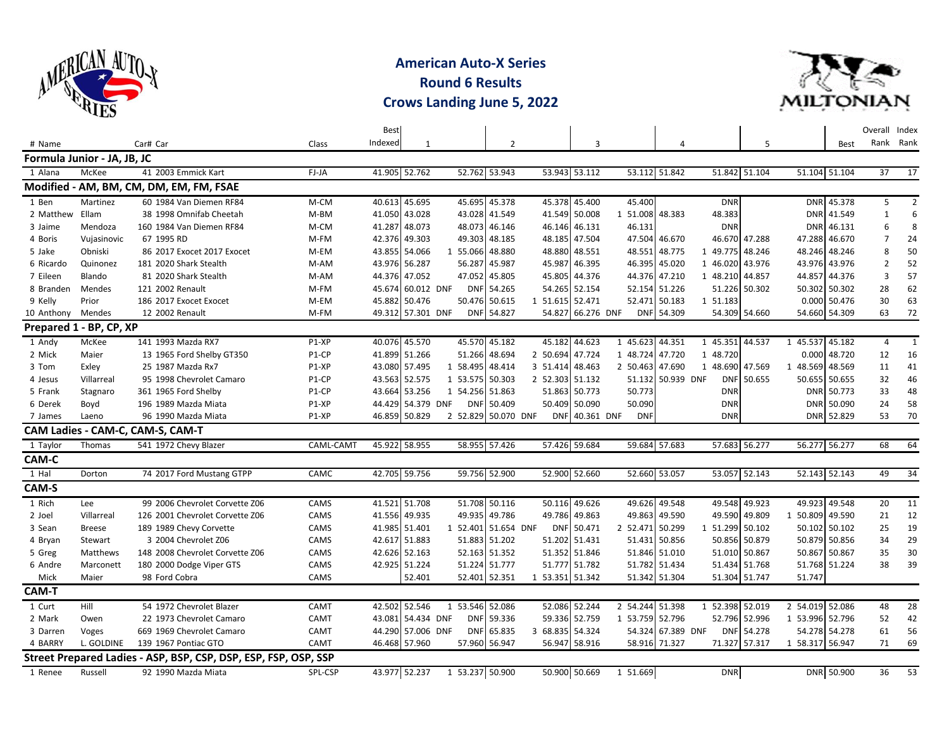

**American Auto-X Series Round 6 Results Crows Landing June 5, 2022**



|                 |                             |                                                                 |           | <b>Best</b> |                   |                     |               |                 |                   |                 |                   |                 |               |                 |             | Overall Index  |                 |
|-----------------|-----------------------------|-----------------------------------------------------------------|-----------|-------------|-------------------|---------------------|---------------|-----------------|-------------------|-----------------|-------------------|-----------------|---------------|-----------------|-------------|----------------|-----------------|
| # Name          |                             | Car# Car                                                        | Class     | Indexed     | 1                 |                     | 2             |                 | 3                 |                 | 4                 |                 | 5             |                 | <b>Best</b> |                | Rank Rank       |
|                 | Formula Junior - JA, JB, JC |                                                                 |           |             |                   |                     |               |                 |                   |                 |                   |                 |               |                 |             |                |                 |
| 1 Alana         | McKee                       | 41 2003 Emmick Kart                                             | FJ-JA     |             | 41.905 52.762     |                     | 52.762 53.943 |                 | 53.943 53.112     |                 | 53.112 51.842     |                 | 51.842 51.104 | 51.104 51.104   |             | 37             | 17              |
|                 |                             | Modified - AM, BM, CM, DM, EM, FM, FSAE                         |           |             |                   |                     |               |                 |                   |                 |                   |                 |               |                 |             |                |                 |
| 1 Ben           | Martinez                    | 60 1984 Van Diemen RF84                                         | M-CM      |             | 40.613 45.695     |                     | 45.695 45.378 |                 | 45.378 45.400     | 45.400          |                   | <b>DNR</b>      |               |                 | DNR 45.378  | 5              | 2               |
| 2 Matthew Ellam |                             | 38 1998 Omnifab Cheetah                                         | M-BM      |             | 41.050 43.028     |                     | 43.028 41.549 |                 | 41.549 50.008     | 1 51.008        | 48.383            | 48.383          |               | <b>DNR</b>      | 41.549      | $\mathbf{1}$   | 6               |
| 3 Jaime         | Mendoza                     | 160 1984 Van Diemen RF84                                        | M-CM      |             | 41.287 48.073     |                     | 48.073 46.146 |                 | 46.146 46.131     | 46.131          |                   | <b>DNR</b>      |               | <b>DNR</b>      | 46.131      | 6              | 8               |
| 4 Boris         | Vujasinovic                 | 67 1995 RD                                                      | M-FM      |             | 42.376 49.303     |                     | 49.303 48.185 |                 | 48.185 47.504     |                 | 47.504 46.670     |                 | 46.670 47.288 | 47.288          | 46.670      | $\overline{7}$ | 24              |
| 5 Jake          | Obniski                     | 86 2017 Exocet 2017 Exocet                                      | M-EM      |             | 43.855 54.066     | $\mathbf{1}$        | 55.066 48.880 |                 | 48.880 48.551     |                 | 48.551 48.775     | 1 49.775 48.246 |               | 48.246          | 48.246      | 8              | 50              |
| 6 Ricardo       | Quinonez                    | 181 2020 Shark Stealth                                          | M-AM      |             | 43.976 56.287     | 56.287              | 45.987        |                 | 45.987 46.395     | 46.395          | 45.020            | 1 46.020        | 43.976        | 43.976 43.976   |             | $\overline{2}$ | 52              |
| 7 Eileen        | Blando                      | 81 2020 Shark Stealth                                           | M-AM      |             | 44.376 47.052     | 47.052              | 45.805        | 45.805          | 44.376            |                 | 44.376 47.210     | 1 48.210        | 44.857        | 44.857          | 44.376      | 3              | 57              |
| 8 Branden       | Mendes                      | 121 2002 Renault                                                | M-FM      |             | 45.674 60.012 DNF | <b>DNF</b>          | 54.265        |                 | 54.265 52.154     |                 | 52.154 51.226     |                 | 51.226 50.302 | 50.302 50.302   |             | 28             | 62              |
| 9 Kelly         | Prior                       | 186 2017 Exocet Exocet                                          | M-EM      |             | 45.882 50.476     |                     | 50.476 50.615 | 1 51.615 52.471 |                   | 52.471          | 50.183            | 1 51.183        |               | 0.000 50.476    |             | 30             | 63              |
| 10 Anthony      | Mendes                      | 12 2002 Renault                                                 | M-FM      |             | 49.312 57.301 DNF |                     | DNF 54.827    |                 | 54.827 66.276 DNF |                 | DNF 54.309        |                 | 54.309 54.660 | 54.660 54.309   |             | 63             | 72              |
|                 | Prepared 1 - BP, CP, XP     |                                                                 |           |             |                   |                     |               |                 |                   |                 |                   |                 |               |                 |             |                |                 |
| 1 Andy          | McKee                       | 141 1993 Mazda RX7                                              | P1-XP     |             | 40.076 45.570     |                     | 45.570 45.182 |                 | 45.182 44.623     | 1 45.623 44.351 |                   | 1 45.351        | 44.537        | 1 45.537 45.182 |             | 4              | 1               |
| 2 Mick          | Maier                       | 13 1965 Ford Shelby GT350                                       | $P1-CP$   |             | 41.899 51.266     |                     | 51.266 48.694 | 2 50.694        | 47.724            | 1 48.724        | 47.720            | 1 48.720        |               | 0.000           | 48.720      | 12             | 16              |
| 3 Tom           | Exley                       | 25 1987 Mazda Rx7                                               | P1-XP     |             | 43.080 57.495     | 1 58.495 48.414     |               | 3 51.414        | 48.463            | 2 50.463 47.690 |                   | 1 48.690        | 47.569        | 1 48.569        | 48.569      | 11             | 41              |
| 4 Jesus         | Villarreal                  | 95 1998 Chevrolet Camaro                                        | P1-CP     |             | 43.563 52.575     | 1 53.575 50.303     |               | 2 52.303 51.132 |                   |                 | 51.132 50.939 DNF | <b>DNF</b>      | 50.655        | 50.655 50.655   |             | 32             | 46              |
| 5 Frank         | Stagnaro                    | 361 1965 Ford Shelby                                            | P1-CP     |             | 43.664 53.256     | 1 54.256 51.863     |               |                 | 51.863 50.773     | 50.773          |                   | <b>DNR</b>      |               | <b>DNR</b>      | 50.773      | 33             | 48              |
| 6 Derek         | Boyd                        | 196 1989 Mazda Miata                                            | P1-XP     |             | 44.429 54.379 DNF | <b>DNF</b>          | 50.409        |                 | 50.409 50.090     | 50.090          |                   | <b>DNR</b>      |               | <b>DNR</b>      | 50.090      | 24             | 58              |
| 7 James         | Laeno                       | 96 1990 Mazda Miata                                             | P1-XP     |             | 46.859 50.829     | 2 52.829 50.070 DNF |               |                 | DNF 40.361 DNF    | <b>DNF</b>      |                   | <b>DNR</b>      |               |                 | DNR 52.829  | 53             | 70              |
|                 |                             | CAM Ladies - CAM-C, CAM-S, CAM-T                                |           |             |                   |                     |               |                 |                   |                 |                   |                 |               |                 |             |                |                 |
| 1 Taylor        | Thomas                      | 541 1972 Chevy Blazer                                           | CAML-CAMT |             | 45.922 58.955     |                     | 58.955 57.426 |                 | 57.426 59.684     |                 | 59.684 57.683     |                 | 57.683 56.277 | 56.277 56.277   |             | 68             | 64              |
| CAM-C           |                             |                                                                 |           |             |                   |                     |               |                 |                   |                 |                   |                 |               |                 |             |                |                 |
| 1 Hal           | Dorton                      | 74 2017 Ford Mustang GTPP                                       | CAMC      |             | 42.705 59.756     |                     | 59.756 52.900 |                 | 52.900 52.660     |                 | 52.660 53.057     |                 | 53.057 52.143 | 52.143 52.143   |             | 49             | 34              |
| CAM-S           |                             |                                                                 |           |             |                   |                     |               |                 |                   |                 |                   |                 |               |                 |             |                |                 |
| 1 Rich          | Lee                         | 99 2006 Chevrolet Corvette Z06                                  | CAMS      |             | 41.521 51.708     |                     | 51.708 50.116 |                 | 50.116 49.626     |                 | 49.626 49.548     | 49.548          | 49.923        | 49.923          | 49.548      | 20             | 11              |
| 2 Joel          | Villarreal                  | 126 2001 Chevrolet Corvette Z06                                 | CAMS      |             | 41.556 49.935     |                     | 49.935 49.786 |                 | 49.786 49.863     |                 | 49.863 49.590     | 49.590          | 49.809        | 1 50.809        | 49.590      | 21             | 12              |
| 3 Sean          | <b>Breese</b>               | 189 1989 Chevy Corvette                                         | CAMS      |             | 41.985 51.401     | 1 52.401            | 51.654 DNF    | <b>DNF</b>      | 50.471            | 2 52.471        | 50.299            | 1 51.299        | 50.102        | 50.102 50.102   |             | 25             | 19              |
| 4 Bryan         | Stewart                     | 3 2004 Chevrolet Z06                                            | CAMS      |             | 42.617 51.883     |                     | 51.883 51.202 |                 | 51.202 51.431     |                 | 51.431 50.856     |                 | 50.856 50.879 | 50.879 50.856   |             | 34             | 29              |
| 5 Greg          | Matthews                    | 148 2008 Chevrolet Corvette Z06                                 | CAMS      |             | 42.626 52.163     |                     | 52.163 51.352 |                 | 51.352 51.846     |                 | 51.846 51.010     |                 | 51.010 50.867 | 50.867          | 50.867      | 35             | 30              |
| 6 Andre         | Marconett                   | 180 2000 Dodge Viper GTS                                        | CAMS      |             | 42.925 51.224     |                     | 51.224 51.777 |                 | 51.777 51.782     |                 | 51.782 51.434     |                 | 51.434 51.768 | 51.768 51.224   |             | 38             | 39              |
| Mick            | Maier                       | 98 Ford Cobra                                                   | CAMS      |             | 52.401            | 52.401              | 52.351        | 1 53.351 51.342 |                   |                 | 51.342 51.304     |                 | 51.304 51.747 | 51.747          |             |                |                 |
| <b>CAM-T</b>    |                             |                                                                 |           |             |                   |                     |               |                 |                   |                 |                   |                 |               |                 |             |                |                 |
| 1 Curt          | Hill                        | 54 1972 Chevrolet Blazer                                        | CAMT      | 42.502      | 52.546            | 1                   | 53.546 52.086 | 52.086          | 52.244            | 2 54.244 51.398 |                   | 1 52.398        | 52.019        | 2 54.019        | 52.086      | 48             | 28              |
| 2 Mark          | Owen                        | 22 1973 Chevrolet Camaro                                        | CAMT      |             | 43.081 54.434 DNF | <b>DNF</b>          | 59.336        |                 | 59.336 52.759     | 1 53.759 52.796 |                   |                 | 52.796 52.996 | 1 53.996 52.796 |             | 52             | 42              |
| 3 Darren        | Voges                       | 669 1969 Chevrolet Camaro                                       | CAMT      |             | 44.290 57.006 DNF |                     | DNF 65.835    | 3 68.835 54.324 |                   |                 | 54.324 67.389 DNF |                 | DNF 54.278    | 54.278 54.278   |             | 61             | 56              |
| 4 BARRY         | L. GOLDINE                  | 139 1967 Pontiac GTO                                            | CAMT      |             | 46.468 57.960     |                     | 57.960 56.947 |                 | 56.947 58.916     |                 | 58.916 71.327     |                 | 71.327 57.317 | 1 58.317 56.947 |             | 71             | 69              |
|                 |                             | Street Prepared Ladies - ASP, BSP, CSP, DSP, ESP, FSP, OSP, SSP |           |             |                   |                     |               |                 |                   |                 |                   |                 |               |                 |             |                |                 |
| 1 Renee         | Russell                     | 92 1990 Mazda Miata                                             | SPL-CSP   |             | 43.977 52.237     | 1 53.237 50.900     |               |                 | 50.900 50.669     | 1 51.669        |                   | <b>DNR</b>      |               |                 | DNR 50.900  | 36             | $\overline{53}$ |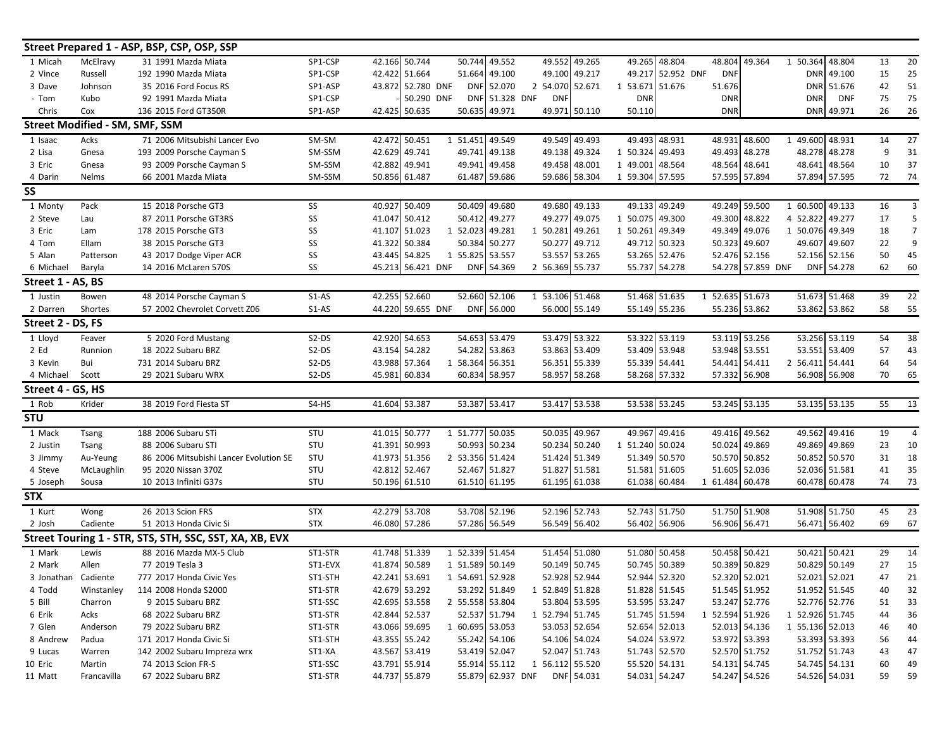|                     |                                       | Street Prepared 1 - ASP, BSP, CSP, OSP, SSP             |            |               |                               |            |                   |                 |               |                 |                   |                 |                   |                 |               |                 |                 |
|---------------------|---------------------------------------|---------------------------------------------------------|------------|---------------|-------------------------------|------------|-------------------|-----------------|---------------|-----------------|-------------------|-----------------|-------------------|-----------------|---------------|-----------------|-----------------|
| 1 Micah             | McElravy                              | 31 1991 Mazda Miata                                     | SP1-CSP    |               | 42.166 50.744                 | 50.744     | 49.552            |                 | 49.552 49.265 |                 | 49.265 48.804     |                 | 48.804 49.364     | 1 50.364        | 48.804        | 13              | 20              |
| 2 Vince             | Russell                               | 192 1990 Mazda Miata                                    | SP1-CSP    |               | 42.422 51.664                 |            | 51.664 49.100     |                 | 49.100 49.217 |                 | 49.217 52.952 DNF | <b>DNF</b>      |                   | <b>DNR</b>      | 49.100        | 15              | 25              |
| 3 Dave              | Johnson                               | 35 2016 Ford Focus RS                                   | SP1-ASP    |               | 43.872 52.780 DNF             |            | DNF 52.070        | 2 54.070 52.671 |               | 1 53.671 51.676 |                   | 51.676          |                   |                 | DNR 51.676    | 42              | 51              |
| - Tom               | Kubo                                  | 92 1991 Mazda Miata                                     | SP1-CSP    |               | 50.290 DNF                    |            | DNF 51.328 DNF    | <b>DNF</b>      |               | <b>DNR</b>      |                   | <b>DNR</b>      |                   | <b>DNR</b>      | <b>DNF</b>    | 75              | 75              |
| Chris               | Cox                                   | 136 2015 Ford GT350R                                    | SP1-ASP    |               | 42.425 50.635                 |            | 50.635 49.971     |                 | 49.971 50.110 | 50.110          |                   | <b>DNR</b>      |                   |                 | DNR 49.971    | 26              | 26              |
|                     | <b>Street Modified - SM, SMF, SSM</b> |                                                         |            |               |                               |            |                   |                 |               |                 |                   |                 |                   |                 |               |                 |                 |
| 1 Isaac             | Acks                                  | 71 2006 Mitsubishi Lancer Evo                           | SM-SM      | 42.472 50.451 |                               |            | 1 51.451 49.549   |                 | 49.549 49.493 |                 | 49.493 48.931     |                 | 48.931 48.600     | 1 49.600 48.931 |               | 14              | $\overline{27}$ |
| 2 Lisa              | Gnesa                                 | 193 2009 Porsche Cayman S                               | SM-SSM     |               | 42.629 49.741                 | 49.741     | 49.138            |                 | 49.138 49.324 | 1 50.324 49.493 |                   |                 | 49.493 48.278     |                 | 48.278 48.278 | 9               | 31              |
| 3 Eric              | Gnesa                                 | 93 2009 Porsche Cayman S                                | SM-SSM     |               | 42.882 49.941                 |            | 49.941 49.458     |                 | 49.458 48.001 | 1 49.001 48.564 |                   |                 | 48.564 48.641     |                 | 48.641 48.564 | 10              | 37              |
| 4 Darin             | Nelms                                 | 66 2001 Mazda Miata                                     | SM-SSM     |               | 50.856 61.487                 |            | 61.487 59.686     |                 | 59.686 58.304 | 1 59.304 57.595 |                   |                 | 57.595 57.894     |                 | 57.894 57.595 | 72              | 74              |
| SS                  |                                       |                                                         |            |               |                               |            |                   |                 |               |                 |                   |                 |                   |                 |               |                 |                 |
| 1 Monty             | Pack                                  | 15 2018 Porsche GT3                                     | SS         |               | 40.927 50.409                 |            | 50.409 49.680     |                 | 49.680 49.133 |                 | 49.133 49.249     |                 | 49.249 59.500     | 1 60.500 49.133 |               | 16              | 3               |
| 2 Steve             | Lau                                   | 87 2011 Porsche GT3RS                                   | SS         |               | 41.047 50.412                 |            | 50.412 49.277     |                 | 49.277 49.075 | 1 50.075 49.300 |                   |                 | 49.300 48.822     | 4 52.822 49.277 |               | 17              | 5               |
| 3 Eric              | Lam                                   | 178 2015 Porsche GT3                                    | SS         |               | 41.107 51.023                 |            | 1 52.023 49.281   | 1 50.281 49.261 |               | 1 50.261 49.349 |                   |                 | 49.349 49.076     | 1 50.076 49.349 |               | 18              | $\overline{7}$  |
| 4 Tom               | Ellam                                 | 38 2015 Porsche GT3                                     | SS         |               | 41.322 50.384                 |            | 50.384 50.277     |                 | 50.277 49.712 |                 | 49.712 50.323     |                 | 50.323 49.607     |                 | 49.607 49.607 | 22              | $\mathbf{q}$    |
| 5 Alan              | Patterson                             | 43 2017 Dodge Viper ACR                                 | SS         |               | 43.445 54.825                 |            | 1 55.825 53.557   |                 | 53.557 53.265 |                 | 53.265 52.476     |                 | 52.476 52.156     |                 | 52.156 52.156 | 50              | 45              |
| 6 Michael           | Baryla                                | 14 2016 McLaren 570S                                    | SS         |               | 45.213 56.421 DNF             | <b>DNF</b> | 54.369            | 2 56.369 55.737 |               |                 | 55.737 54.278     |                 | 54.278 57.859 DNF |                 | DNF 54.278    | 62              | 60              |
| Street 1 - AS, BS   |                                       |                                                         |            |               |                               |            |                   |                 |               |                 |                   |                 |                   |                 |               |                 |                 |
| 1 Justin            | Bowen                                 | 48 2014 Porsche Cayman S                                | $S1-AS$    |               | 42.255 52.660                 |            | 52.660 52.106     | 1 53.106 51.468 |               |                 | 51.468 51.635     | 1 52.635 51.673 |                   |                 | 51.673 51.468 | 39              | $\overline{22}$ |
| 2 Darren            | Shortes                               | 57 2002 Chevrolet Corvett Z06                           | $S1-AS$    |               | 44.220 59.655 DNF             |            | DNF 56.000        |                 | 56.000 55.149 |                 | 55.149 55.236     |                 | 55.236 53.862     |                 | 53.862 53.862 | 58              | 55              |
| Street 2 - DS, FS   |                                       |                                                         |            |               |                               |            |                   |                 |               |                 |                   |                 |                   |                 |               |                 |                 |
| 1 Lloyd             | Feaver                                | 5 2020 Ford Mustang                                     | $S2-DS$    |               | 42.920 54.653                 |            | 54.653 53.479     |                 | 53.479 53.322 |                 | 53.322 53.119     |                 | 53.119 53.256     |                 | 53.256 53.119 | 54              | 38              |
| 2 Ed                | Runnion                               | 18 2022 Subaru BRZ                                      | S2-DS      |               | 43.154 54.282                 |            | 54.282 53.863     |                 | 53.863 53.409 |                 | 53.409 53.948     |                 | 53.948 53.551     |                 | 53.551 53.409 | 57              | 43              |
| 3 Kevin             | Bui                                   | 731 2014 Subaru BRZ                                     | S2-DS      |               | 43.988 57.364                 |            | 1 58.364 56.351   |                 | 56.351 55.339 |                 | 55.339 54.441     |                 | 54.441 54.411     | 2 56.411 54.441 |               | 64              | 54              |
| 4 Michael           | Scott                                 | 29 2021 Subaru WRX                                      | $S2-DS$    |               | 45.981 60.834                 |            | 60.834 58.957     |                 | 58.957 58.268 |                 | 58.268 57.332     |                 | 57.332 56.908     |                 | 56.908 56.908 | 70              | 65              |
| Street 4 -          | GS, HS                                |                                                         |            |               |                               |            |                   |                 |               |                 |                   |                 |                   |                 |               |                 |                 |
| 1 Rob               | Krider                                | 38 2019 Ford Fiesta ST                                  | $S4-HS$    |               | 41.604 53.387                 |            | 53.387 53.417     |                 | 53.417 53.538 |                 | 53.538 53.245     |                 | 53.245 53.135     |                 | 53.135 53.135 | $\overline{55}$ | $\overline{13}$ |
| <b>STU</b>          |                                       |                                                         |            |               |                               |            |                   |                 |               |                 |                   |                 |                   |                 |               |                 |                 |
| 1 Mack              | Tsang                                 | 188 2006 Subaru STi                                     | STU        |               | 41.015 50.777                 |            | 1 51.777 50.035   |                 | 50.035 49.967 |                 | 49.967 49.416     |                 | 49.416 49.562     |                 | 49.562 49.416 | 19              | $\overline{4}$  |
| 2 Justin            | Tsang                                 | 88 2006 Subaru STI                                      | STU        |               | 41.391 50.993                 |            | 50.993 50.234     |                 | 50.234 50.240 | 1 51.240 50.024 |                   |                 | 50.024 49.869     |                 | 49.869 49.869 | 23              | 10              |
| 3 Jimmy             | Au-Yeung                              | 86 2006 Mitsubishi Lancer Evolution SE                  | STU        |               | 41.973 51.356                 |            | 2 53.356 51.424   |                 | 51.424 51.349 |                 | 51.349 50.570     |                 | 50.570 50.852     |                 | 50.852 50.570 | 31              | 18              |
| 4 Steve             | McLaughlin                            | 95 2020 Nissan 370Z                                     | STU        |               | 42.812 52.467                 |            | 52.467 51.827     |                 | 51.827 51.581 |                 | 51.581 51.605     |                 | 51.605 52.036     |                 | 52.036 51.581 | 41              | 35              |
| 5 Joseph            | Sousa                                 | 10 2013 Infiniti G37s                                   | STU        |               | 50.196 61.510                 |            | 61.510 61.195     |                 | 61.195 61.038 |                 | 61.038 60.484     | 1 61.484 60.478 |                   |                 | 60.478 60.478 | 74              | 73              |
| <b>STX</b>          |                                       |                                                         |            |               |                               |            |                   |                 |               |                 |                   |                 |                   |                 |               |                 |                 |
| 1 Kurt              | Wong                                  | 26 2013 Scion FRS                                       | <b>STX</b> |               | 42.279 53.708                 |            | 53.708 52.196     |                 | 52.196 52.743 |                 | 52.743 51.750     |                 | 51.750 51.908     |                 | 51.908 51.750 | 45              | 23              |
| 2 Josh              | Cadiente                              | 51 2013 Honda Civic Si                                  | <b>STX</b> |               | 46.080 57.286                 |            | 57.286 56.549     |                 | 56.549 56.402 |                 | 56.402 56.906     |                 | 56.906 56.471     |                 | 56.471 56.402 | 69              | 67              |
|                     |                                       | Street Touring 1 - STR, STS, STH, SSC, SST, XA, XB, EVX |            |               |                               |            |                   |                 |               |                 |                   |                 |                   |                 |               |                 |                 |
| 1 Mark              | Lewis                                 | 88 2016 Mazda MX-5 Club                                 | ST1-STR    |               | 41.748 51.339                 |            | 1 52.339 51.454   |                 | 51.454 51.080 |                 | 51.080 50.458     |                 | 50.458 50.421     |                 | 50.421 50.421 | 29              | 14              |
| 2 Mark              | Allen                                 | 77 2019 Tesla 3                                         | ST1-EVX    |               | 41.874 50.589                 |            | 1 51.589 50.149   |                 | 50.149 50.745 |                 | 50.745 50.389     |                 | 50.389 50.829     |                 | 50.829 50.149 | 27              | 15              |
| 3 Jonathan Cadiente |                                       | 777 2017 Honda Civic Yes                                | ST1-STH    |               | 42.241 53.691 1 54.691 52.928 |            |                   |                 | 52.928 52.944 |                 | 52.944 52.320     |                 | 52.320 52.021     |                 | 52.021 52.021 | 47              | 21              |
| 4 Todd              | Winstanley                            | 114 2008 Honda S2000                                    | ST1-STR    |               | 42.679 53.292                 |            | 53.292 51.849     | 1 52.849 51.828 |               |                 | 51.828 51.545     |                 | 51.545 51.952     |                 | 51.952 51.545 | 40              | 32              |
| 5 Bill              | Charron                               | 9 2015 Subaru BRZ                                       | ST1-SSC    |               | 42.695 53.558                 |            | 2 55.558 53.804   |                 | 53.804 53.595 |                 | 53.595 53.247     |                 | 53.247 52.776     |                 | 52.776 52.776 | 51              | 33              |
| 6 Erik              | Acks                                  | 68 2022 Subaru BRZ                                      | ST1-STR    |               | 42.844 52.537                 |            | 52.537 51.794     | 1 52.794 51.745 |               |                 | 51.745 51.594     | 1 52.594 51.926 |                   | 1 52.926 51.745 |               | 44              | 36              |
| 7 Glen              | Anderson                              | 79 2022 Subaru BRZ                                      | ST1-STR    |               | 43.066 59.695                 |            | 1 60.695 53.053   |                 | 53.053 52.654 |                 | 52.654 52.013     |                 | 52.013 54.136     | 1 55.136 52.013 |               | 46              | 40              |
| 8 Andrew            | Padua                                 | 171 2017 Honda Civic Si                                 | ST1-STH    |               | 43.355 55.242                 |            | 55.242 54.106     |                 | 54.106 54.024 |                 | 54.024 53.972     |                 | 53.972 53.393     |                 | 53.393 53.393 | 56              | 44              |
| 9 Lucas             | Warren                                | 142 2002 Subaru Impreza wrx                             | ST1-XA     |               | 43.567 53.419                 |            | 53.419 52.047     |                 | 52.047 51.743 |                 | 51.743 52.570     |                 | 52.570 51.752     |                 | 51.752 51.743 | 43              | 47              |
| 10 Eric             | Martin                                | 74 2013 Scion FR-S                                      | ST1-SSC    |               | 43.791 55.914                 |            | 55.914 55.112     | 1 56.112 55.520 |               |                 | 55.520 54.131     |                 | 54.131 54.745     |                 | 54.745 54.131 | 60              | 49              |
| 11 Matt             | Francavilla                           | 67 2022 Subaru BRZ                                      | ST1-STR    |               | 44.737 55.879                 |            | 55.879 62.937 DNF |                 | DNF 54.031    |                 | 54.031 54.247     |                 | 54.247 54.526     |                 | 54.526 54.031 | 59              | 59              |